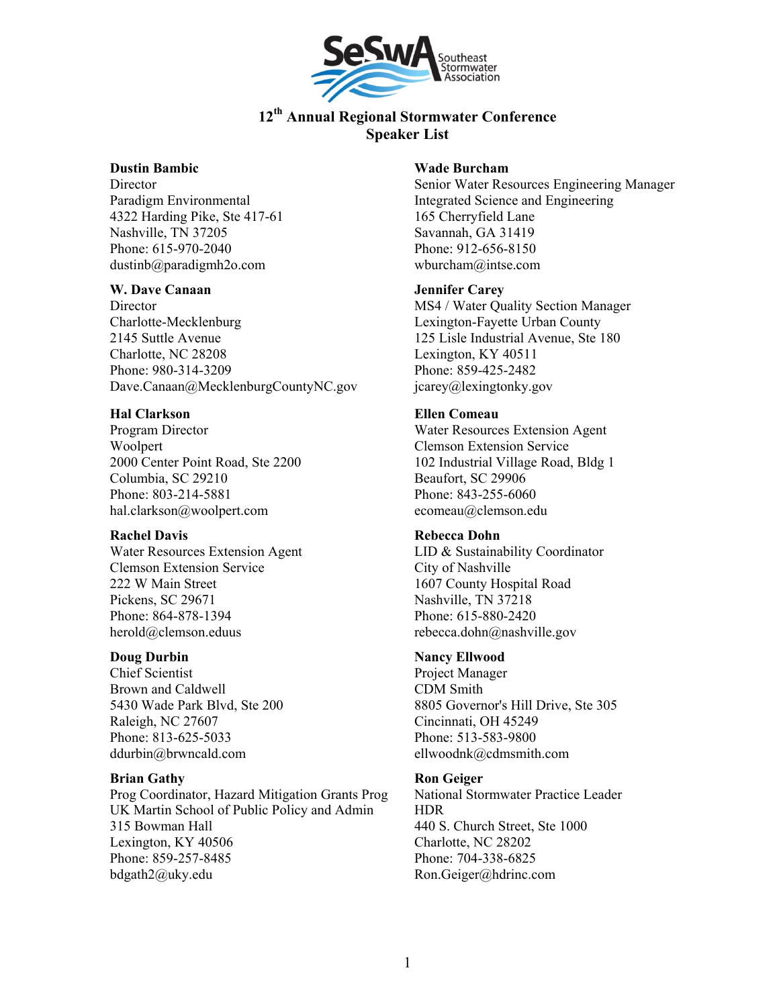

## **Dustin Bambic**

**Director** Paradigm Environmental 4322 Harding Pike, Ste 417-61 Nashville, TN 37205 Phone: 615-970-2040 dustinb@paradigmh2o.com

#### **W. Dave Canaan**

**Director** Charlotte-Mecklenburg 2145 Suttle Avenue Charlotte, NC 28208 Phone: 980-314-3209 Dave.Canaan@MecklenburgCountyNC.gov

## **Hal Clarkson**

Program Director Woolpert 2000 Center Point Road, Ste 2200 Columbia, SC 29210 Phone: 803-214-5881 hal.clarkson@woolpert.com

## **Rachel Davis**

Water Resources Extension Agent Clemson Extension Service 222 W Main Street Pickens, SC 29671 Phone: 864-878-1394 herold@clemson.eduus

## **Doug Durbin**

Chief Scientist Brown and Caldwell 5430 Wade Park Blvd, Ste 200 Raleigh, NC 27607 Phone: 813-625-5033 ddurbin@brwncald.com

## **Brian Gathy**

Prog Coordinator, Hazard Mitigation Grants Prog UK Martin School of Public Policy and Admin 315 Bowman Hall Lexington, KY 40506 Phone: 859-257-8485 bdgath2@uky.edu

#### **Wade Burcham**

Senior Water Resources Engineering Manager Integrated Science and Engineering 165 Cherryfield Lane Savannah, GA 31419 Phone: 912-656-8150 wburcham@intse.com

## **Jennifer Carey**

MS4 / Water Quality Section Manager Lexington-Fayette Urban County 125 Lisle Industrial Avenue, Ste 180 Lexington, KY 40511 Phone: 859-425-2482 jcarey@lexingtonky.gov

## **Ellen Comeau**

Water Resources Extension Agent Clemson Extension Service 102 Industrial Village Road, Bldg 1 Beaufort, SC 29906 Phone: 843-255-6060 ecomeau@clemson.edu

## **Rebecca Dohn**

LID & Sustainability Coordinator City of Nashville 1607 County Hospital Road Nashville, TN 37218 Phone: 615-880-2420 rebecca.dohn@nashville.gov

## **Nancy Ellwood**

Project Manager CDM Smith 8805 Governor's Hill Drive, Ste 305 Cincinnati, OH 45249 Phone: 513-583-9800 ellwoodnk@cdmsmith.com

## **Ron Geiger**

National Stormwater Practice Leader HDR 440 S. Church Street, Ste 1000 Charlotte, NC 28202 Phone: 704-338-6825 Ron.Geiger@hdrinc.com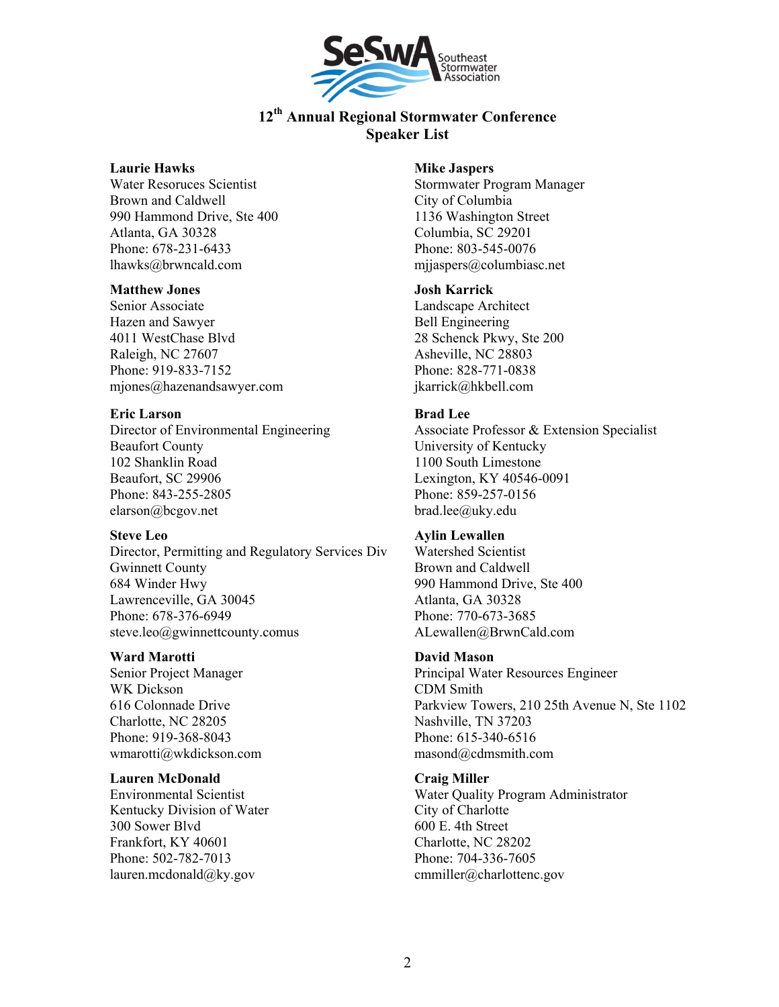

#### **Laurie Hawks**

Water Resoruces Scientist Brown and Caldwell 990 Hammond Drive, Ste 400 Atlanta, GA 30328 Phone: 678-231-6433 lhawks@brwncald.com

#### **Matthew Jones**

Senior Associate Hazen and Sawyer 4011 WestChase Blvd Raleigh, NC 27607 Phone: 919-833-7152 mjones@hazenandsawyer.com

## **Eric Larson**

Director of Environmental Engineering Beaufort County 102 Shanklin Road Beaufort, SC 29906 Phone: 843-255-2805 elarson@bcgov.net

## **Steve Leo**

Director, Permitting and Regulatory Services Div Gwinnett County 684 Winder Hwy Lawrenceville, GA 30045 Phone: 678-376-6949 steve.leo@gwinnettcounty.comus

## **Ward Marotti**

Senior Project Manager WK Dickson 616 Colonnade Drive Charlotte, NC 28205 Phone: 919-368-8043 wmarotti@wkdickson.com

## **Lauren McDonald**

Environmental Scientist Kentucky Division of Water 300 Sower Blvd Frankfort, KY 40601 Phone: 502-782-7013 lauren.mcdonald@ky.gov

#### **Mike Jaspers**

Stormwater Program Manager City of Columbia 1136 Washington Street Columbia, SC 29201 Phone: 803-545-0076 mjjaspers@columbiasc.net

#### **Josh Karrick**

Landscape Architect Bell Engineering 28 Schenck Pkwy, Ste 200 Asheville, NC 28803 Phone: 828-771-0838 jkarrick@hkbell.com

## **Brad Lee**

Associate Professor & Extension Specialist University of Kentucky 1100 South Limestone Lexington, KY 40546-0091 Phone: 859-257-0156 brad.lee@uky.edu

## **Aylin Lewallen**

Watershed Scientist Brown and Caldwell 990 Hammond Drive, Ste 400 Atlanta, GA 30328 Phone: 770-673-3685 ALewallen@BrwnCald.com

## **David Mason**

Principal Water Resources Engineer CDM Smith Parkview Towers, 210 25th Avenue N, Ste 1102 Nashville, TN 37203 Phone: 615-340-6516 masond@cdmsmith.com

## **Craig Miller**

Water Quality Program Administrator City of Charlotte 600 E. 4th Street Charlotte, NC 28202 Phone: 704-336-7605 cmmiller@charlottenc.gov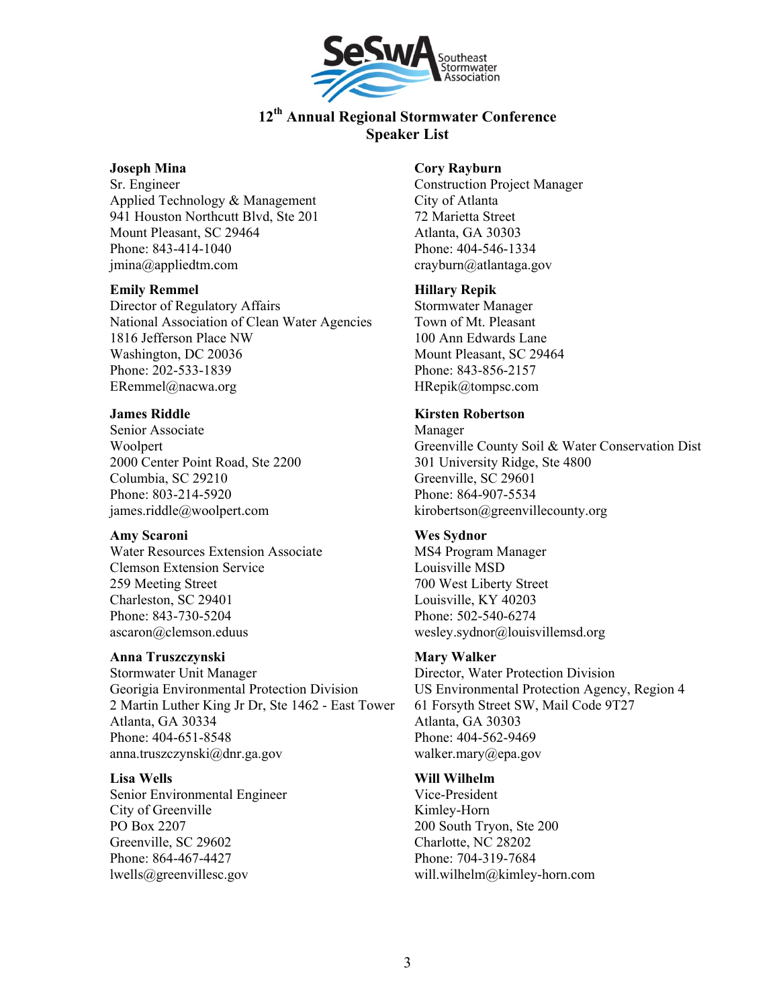

## **Joseph Mina**

Sr. Engineer Applied Technology & Management 941 Houston Northcutt Blvd, Ste 201 Mount Pleasant, SC 29464 Phone: 843-414-1040 jmina@appliedtm.com

## **Emily Remmel**

Director of Regulatory Affairs National Association of Clean Water Agencies 1816 Jefferson Place NW Washington, DC 20036 Phone: 202-533-1839 ERemmel@nacwa.org

#### **James Riddle**

Senior Associate Woolpert 2000 Center Point Road, Ste 2200 Columbia, SC 29210 Phone: 803-214-5920 james.riddle@woolpert.com

## **Amy Scaroni**

Water Resources Extension Associate Clemson Extension Service 259 Meeting Street Charleston, SC 29401 Phone: 843-730-5204 ascaron@clemson.eduus

## **Anna Truszczynski**

Stormwater Unit Manager Georigia Environmental Protection Division 2 Martin Luther King Jr Dr, Ste 1462 - East Tower Atlanta, GA 30334 Phone: 404-651-8548 anna.truszczynski@dnr.ga.gov

#### **Lisa Wells**

Senior Environmental Engineer City of Greenville PO Box 2207 Greenville, SC 29602 Phone: 864-467-4427 lwells@greenvillesc.gov

#### **Cory Rayburn**

Construction Project Manager City of Atlanta 72 Marietta Street Atlanta, GA 30303 Phone: 404-546-1334 crayburn@atlantaga.gov

#### **Hillary Repik**

Stormwater Manager Town of Mt. Pleasant 100 Ann Edwards Lane Mount Pleasant, SC 29464 Phone: 843-856-2157 HRepik@tompsc.com

#### **Kirsten Robertson**

Manager Greenville County Soil & Water Conservation Dist 301 University Ridge, Ste 4800 Greenville, SC 29601 Phone: 864-907-5534 kirobertson@greenvillecounty.org

## **Wes Sydnor**

MS4 Program Manager Louisville MSD 700 West Liberty Street Louisville, KY 40203 Phone: 502-540-6274 wesley.sydnor@louisvillemsd.org

## **Mary Walker**

Director, Water Protection Division US Environmental Protection Agency, Region 4 61 Forsyth Street SW, Mail Code 9T27 Atlanta, GA 30303 Phone: 404-562-9469 walker.mary@epa.gov

## **Will Wilhelm**

Vice-President Kimley-Horn 200 South Tryon, Ste 200 Charlotte, NC 28202 Phone: 704-319-7684 will.wilhelm@kimley-horn.com